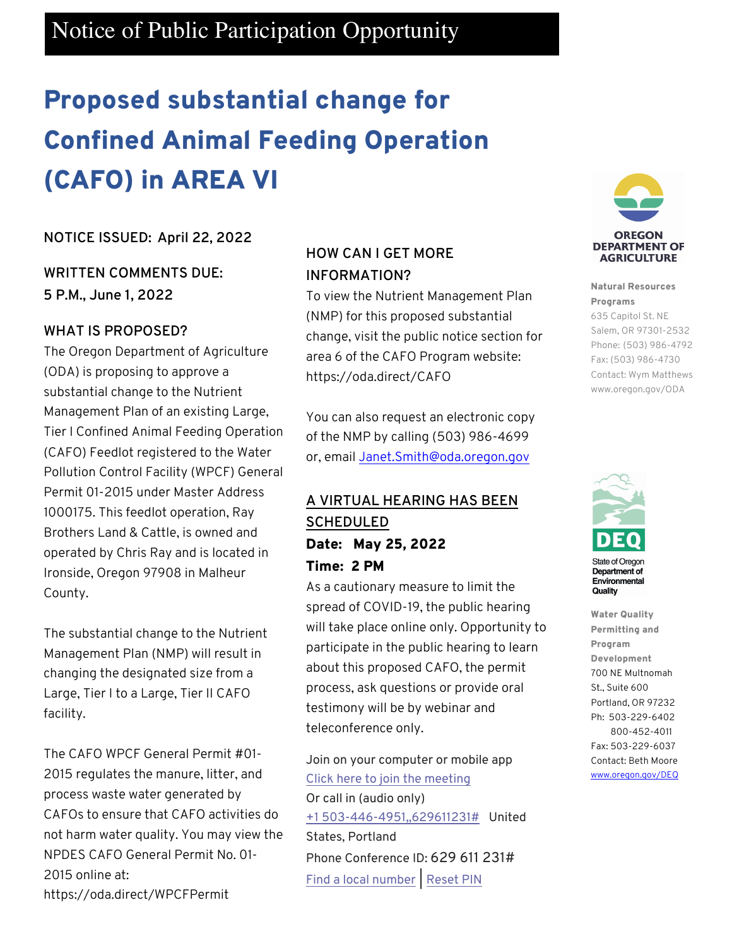# Notice of Public Participation Opportunity

# Proposed substantial change for Confined Animal Feeding Operation (CAFO) in AREA VI

## **NOTICE ISSUED: April 22, 2022**

## **WRITTEN COMMENTS DUE: 5 P.M., June 1, 2022**

## **WHAT IS PROPOSED?**

The Oregon Department of Agriculture (ODA) is proposing to approve a substantial change to the Nutrient Management Plan of an existing Large, Tier I Confined Animal Feeding Operation (CAFO) Feedlot registered to the Water Pollution Control Facility (WPCF) General Permit 01-2015 under Master Address 1000175. This feedlot operation, Ray Brothers Land & Cattle, is owned and operated by Chris Ray and is located in Ironside, Oregon 97908 in Malheur County.

The substantial change to the Nutrient Management Plan (NMP) will result in changing the designated size from a Large, Tier I to a Large, Tier II CAFO facility.

The CAFO WPCF General Permit #01- 2015 regulates the manure, litter, and process waste water generated by CAFOs to ensure that CAFO activities do not harm water quality. You may view the NPDES CAFO General Permit No. 01- 2015 online at: https://oda.direct/WPCFPermit

## **HOW CAN I GET MORE INFORMATION?**

To view the Nutrient Management Plan (NMP) for this proposed substantial change, visit the public notice section for area 6 of the CAFO Program website: https://oda.direct/CAFO

You can also request an electronic copy of the NMP by calling (503) 986-4699 or, email Janet.Smith@oda.oregon.gov

## **A VIRTUAL HEARING HAS BEEN SCHEDULED**  Date: May 25, 2022 Time: 2 PM

As a cautionary measure to limit the spread of COVID-19, the public hearing will take place online only. Opportunity to participate in the public hearing to learn about this proposed CAFO, the permit process, ask questions or provide oral testimony will be by webinar and teleconference only.

Join on your computer or mobile app Click here to join the meeting

Or call in (audio only) +1 503-446-4951,,629611231# United States, Portland Phone Conference ID: 629 611 231# Find a local number | Reset PIN



#### Natural Resources Programs

635 Capitol St. NE Salem, OR 97301-2532 Phone: (503) 986-4792 Fax: (503) 986-4730 Contact: Wym Matthews www.oregon.gov/ODA



**State of Oregon** Department of Environmental Quality

Water Quality Permitting and Program Development 700 NE Multnomah St., Suite 600 Portland, OR 97232 Ph: 503-229-6402 800-452-4011 Fax: 503-229-6037 Contact: Beth Moore www.oregon.gov/DEQ